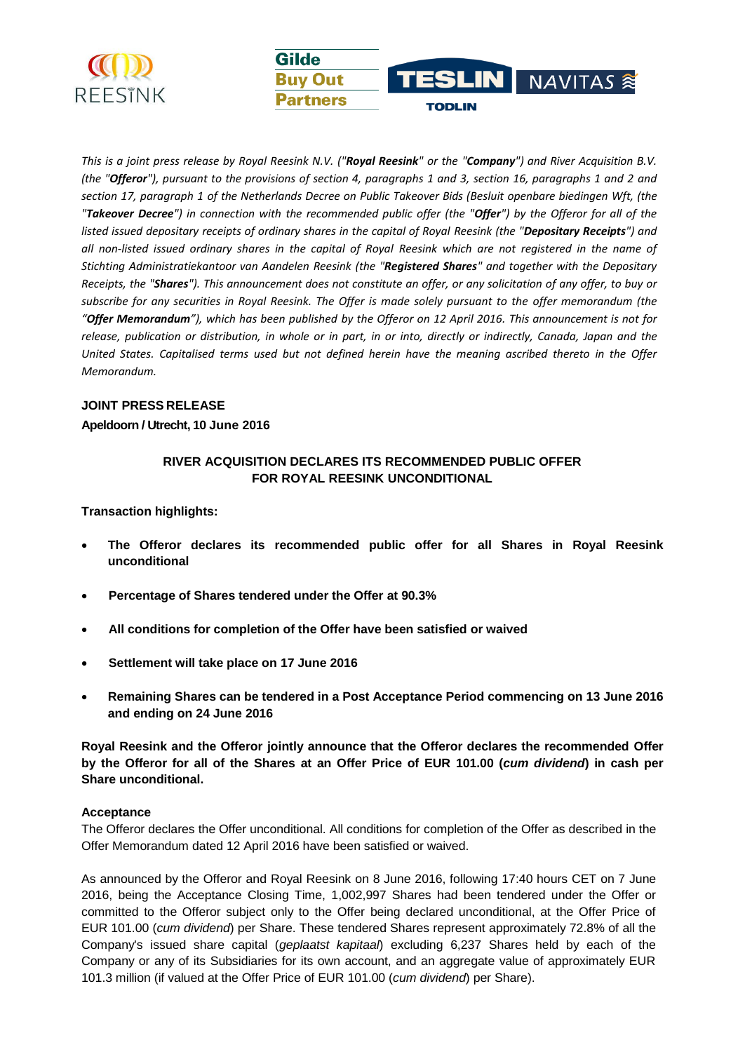



This is a joint press release by Royal Reesink N.V. ("Royal Reesink" or the "Company") and River Acquisition B.V. *(the "Offeror"), pursuant to the provisions of section 4, paragraphs 1 and 3, section 16, paragraphs 1 and 2 and section 17, paragraph 1 of the Netherlands Decree on Public Takeover Bids (Besluit openbare biedingen Wft, (the "Takeover Decree") in connection with the recommended public offer (the "Offer") by the Offeror for all of the listed issued depositary receipts of ordinary shares in the capital of Royal Reesink (the "Depositary Receipts") and all non-listed issued ordinary shares in the capital of Royal Reesink which are not registered in the name of Stichting Administratiekantoor van Aandelen Reesink (the "Registered Shares" and together with the Depositary*  Receipts, the "Shares"). This announcement does not constitute an offer, or any solicitation of any offer, to buy or *subscribe for any securities in Royal Reesink. The Offer is made solely pursuant to the offer memorandum (the "Offer Memorandum"), which has been published by the Offeror on 12 April 2016. This announcement is not for* release, publication or distribution, in whole or in part, in or into, directly or indirectly, Canada, Japan and the United States. Capitalised terms used but not defined herein have the meaning ascribed thereto in the Offer *Memorandum.*

### **JOINT PRESS RELEASE**

### **Apeldoorn / Utrecht, 10 June 2016**

# **RIVER ACQUISITION DECLARES ITS RECOMMENDED PUBLIC OFFER FOR ROYAL REESINK UNCONDITIONAL**

**Transaction highlights:**

- **The Offeror declares its recommended public offer for all Shares in Royal Reesink unconditional**
- **Percentage of Shares tendered under the Offer at 90.3%**
- **All conditions for completion of the Offer have been satisfied or waived**
- **Settlement will take place on 17 June 2016**
- **Remaining Shares can be tendered in a Post Acceptance Period commencing on 13 June 2016 and ending on 24 June 2016**

**Royal Reesink and the Offeror jointly announce that the Offeror declares the recommended Offer by the Offeror for all of the Shares at an Offer Price of EUR 101.00 (***cum dividend***) in cash per Share unconditional.**

## **Acceptance**

The Offeror declares the Offer unconditional. All conditions for completion of the Offer as described in the Offer Memorandum dated 12 April 2016 have been satisfied or waived.

As announced by the Offeror and Royal Reesink on 8 June 2016, following 17:40 hours CET on 7 June 2016, being the Acceptance Closing Time, 1,002,997 Shares had been tendered under the Offer or committed to the Offeror subject only to the Offer being declared unconditional, at the Offer Price of EUR 101.00 (*cum dividend*) per Share. These tendered Shares represent approximately 72.8% of all the Company's issued share capital (*geplaatst kapitaal*) excluding 6,237 Shares held by each of the Company or any of its Subsidiaries for its own account, and an aggregate value of approximately EUR 101.3 million (if valued at the Offer Price of EUR 101.00 (*cum dividend*) per Share).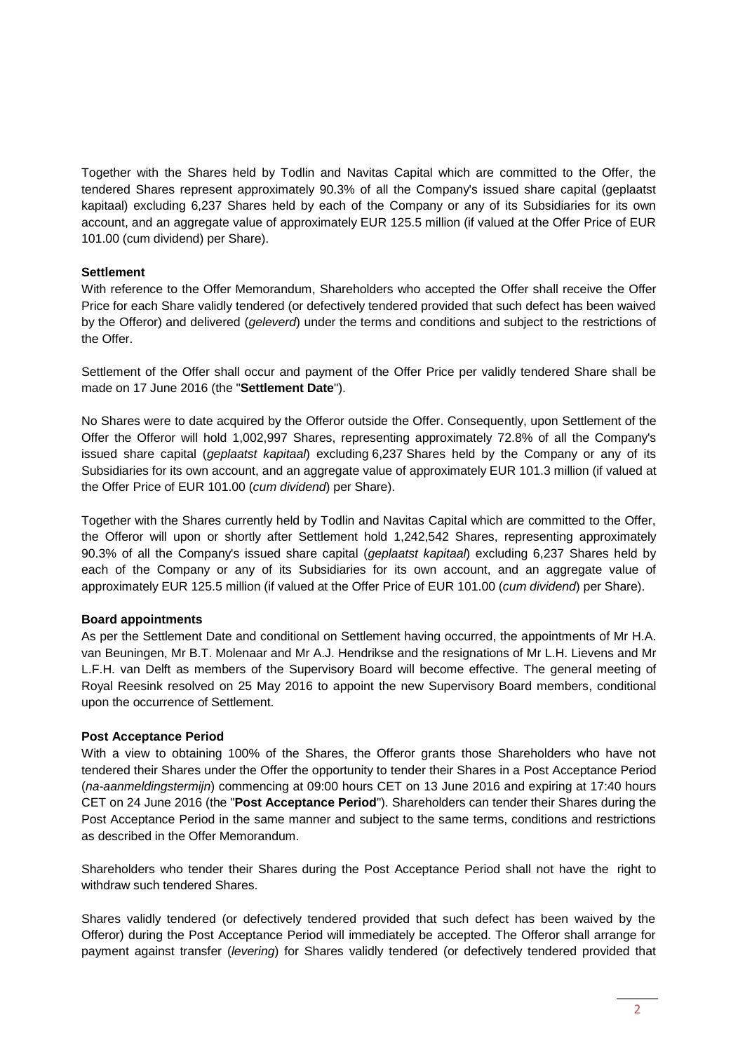Together with the Shares held by Todlin and Navitas Capital which are committed to the Offer, the tendered Shares represent approximately 90.3% of all the Company's issued share capital (geplaatst kapitaal) excluding 6,237 Shares held by each of the Company or any of its Subsidiaries for its own account, and an aggregate value of approximately EUR 125.5 million (if valued at the Offer Price of EUR 101.00 (cum dividend) per Share).

## **Settlement**

With reference to the Offer Memorandum, Shareholders who accepted the Offer shall receive the Offer Price for each Share validly tendered (or defectively tendered provided that such defect has been waived by the Offeror) and delivered (*geleverd*) under the terms and conditions and subject to the restrictions of the Offer.

Settlement of the Offer shall occur and payment of the Offer Price per validly tendered Share shall be made on 17 June 2016 (the "**Settlement Date**").

No Shares were to date acquired by the Offeror outside the Offer. Consequently, upon Settlement of the Offer the Offeror will hold 1,002,997 Shares, representing approximately 72.8% of all the Company's issued share capital (*geplaatst kapitaal*) excluding 6,237 Shares held by the Company or any of its Subsidiaries for its own account, and an aggregate value of approximately EUR 101.3 million (if valued at the Offer Price of EUR 101.00 (*cum dividend*) per Share).

Together with the Shares currently held by Todlin and Navitas Capital which are committed to the Offer, the Offeror will upon or shortly after Settlement hold 1,242,542 Shares, representing approximately 90.3% of all the Company's issued share capital (*geplaatst kapitaal*) excluding 6,237 Shares held by each of the Company or any of its Subsidiaries for its own account, and an aggregate value of approximately EUR 125.5 million (if valued at the Offer Price of EUR 101.00 (*cum dividend*) per Share).

#### **Board appointments**

As per the Settlement Date and conditional on Settlement having occurred, the appointments of Mr H.A. van Beuningen, Mr B.T. Molenaar and Mr A.J. Hendrikse and the resignations of Mr L.H. Lievens and Mr L.F.H. van Delft as members of the Supervisory Board will become effective. The general meeting of Royal Reesink resolved on 25 May 2016 to appoint the new Supervisory Board members, conditional upon the occurrence of Settlement.

#### **Post Acceptance Period**

With a view to obtaining 100% of the Shares, the Offeror grants those Shareholders who have not tendered their Shares under the Offer the opportunity to tender their Shares in a Post Acceptance Period (*na-aanmeldingstermijn*) commencing at 09:00 hours CET on 13 June 2016 and expiring at 17:40 hours CET on 24 June 2016 (the "**Post Acceptance Period**"). Shareholders can tender their Shares during the Post Acceptance Period in the same manner and subject to the same terms, conditions and restrictions as described in the Offer Memorandum.

Shareholders who tender their Shares during the Post Acceptance Period shall not have the right to withdraw such tendered Shares.

Shares validly tendered (or defectively tendered provided that such defect has been waived by the Offeror) during the Post Acceptance Period will immediately be accepted. The Offeror shall arrange for payment against transfer (*levering*) for Shares validly tendered (or defectively tendered provided that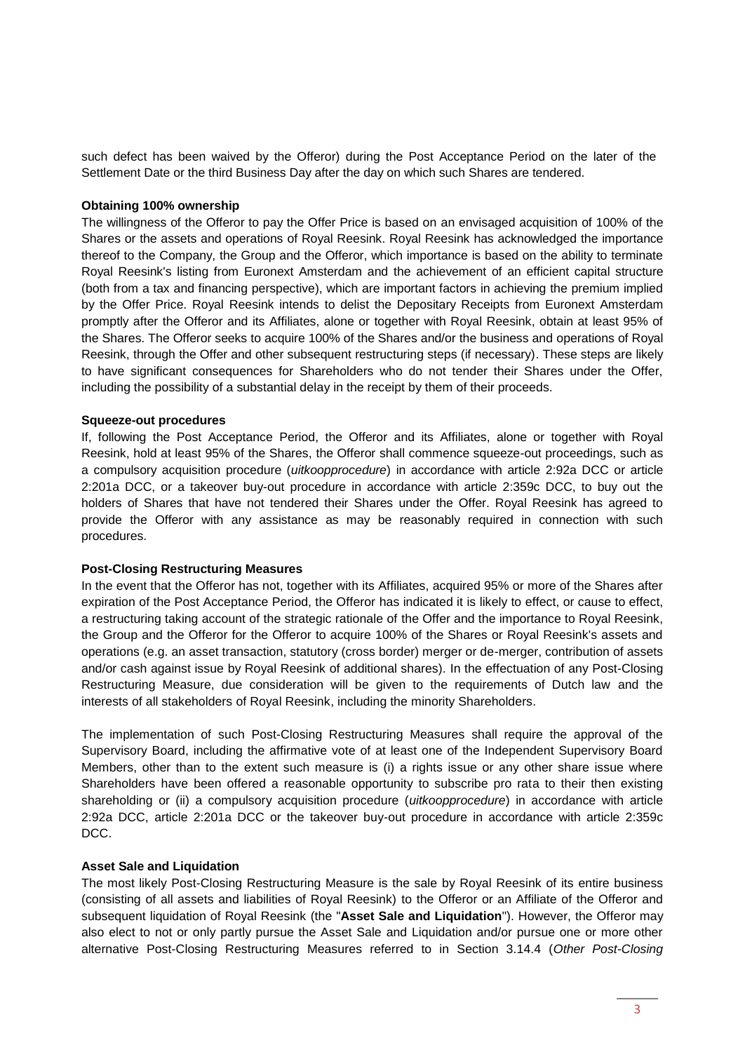such defect has been waived by the Offeror) during the Post Acceptance Period on the later of the Settlement Date or the third Business Day after the day on which such Shares are tendered.

#### **Obtaining 100% ownership**

The willingness of the Offeror to pay the Offer Price is based on an envisaged acquisition of 100% of the Shares or the assets and operations of Royal Reesink. Royal Reesink has acknowledged the importance thereof to the Company, the Group and the Offeror, which importance is based on the ability to terminate Royal Reesink's listing from Euronext Amsterdam and the achievement of an efficient capital structure (both from a tax and financing perspective), which are important factors in achieving the premium implied by the Offer Price. Royal Reesink intends to delist the Depositary Receipts from Euronext Amsterdam promptly after the Offeror and its Affiliates, alone or together with Royal Reesink, obtain at least 95% of the Shares. The Offeror seeks to acquire 100% of the Shares and/or the business and operations of Royal Reesink, through the Offer and other subsequent restructuring steps (if necessary). These steps are likely to have significant consequences for Shareholders who do not tender their Shares under the Offer, including the possibility of a substantial delay in the receipt by them of their proceeds.

### **Squeeze-out procedures**

If, following the Post Acceptance Period, the Offeror and its Affiliates, alone or together with Royal Reesink, hold at least 95% of the Shares, the Offeror shall commence squeeze-out proceedings, such as a compulsory acquisition procedure (*uitkoopprocedure*) in accordance with article 2:92a DCC or article 2:201a DCC, or a takeover buy-out procedure in accordance with article 2:359c DCC, to buy out the holders of Shares that have not tendered their Shares under the Offer. Royal Reesink has agreed to provide the Offeror with any assistance as may be reasonably required in connection with such procedures.

#### **Post-Closing Restructuring Measures**

In the event that the Offeror has not, together with its Affiliates, acquired 95% or more of the Shares after expiration of the Post Acceptance Period, the Offeror has indicated it is likely to effect, or cause to effect, a restructuring taking account of the strategic rationale of the Offer and the importance to Royal Reesink, the Group and the Offeror for the Offeror to acquire 100% of the Shares or Royal Reesink's assets and operations (e.g. an asset transaction, statutory (cross border) merger or de-merger, contribution of assets and/or cash against issue by Royal Reesink of additional shares). In the effectuation of any Post-Closing Restructuring Measure, due consideration will be given to the requirements of Dutch law and the interests of all stakeholders of Royal Reesink, including the minority Shareholders.

The implementation of such Post-Closing Restructuring Measures shall require the approval of the Supervisory Board, including the affirmative vote of at least one of the Independent Supervisory Board Members, other than to the extent such measure is (i) a rights issue or any other share issue where Shareholders have been offered a reasonable opportunity to subscribe pro rata to their then existing shareholding or (ii) a compulsory acquisition procedure (*uitkoopprocedure*) in accordance with article 2:92a DCC, article 2:201a DCC or the takeover buy-out procedure in accordance with article 2:359c DCC.

### **Asset Sale and Liquidation**

The most likely Post-Closing Restructuring Measure is the sale by Royal Reesink of its entire business (consisting of all assets and liabilities of Royal Reesink) to the Offeror or an Affiliate of the Offeror and subsequent liquidation of Royal Reesink (the "**Asset Sale and Liquidation**"). However, the Offeror may also elect to not or only partly pursue the Asset Sale and Liquidation and/or pursue one or more other alternative Post-Closing Restructuring Measures referred to in Section 3.14.4 (*Other Post-Closing*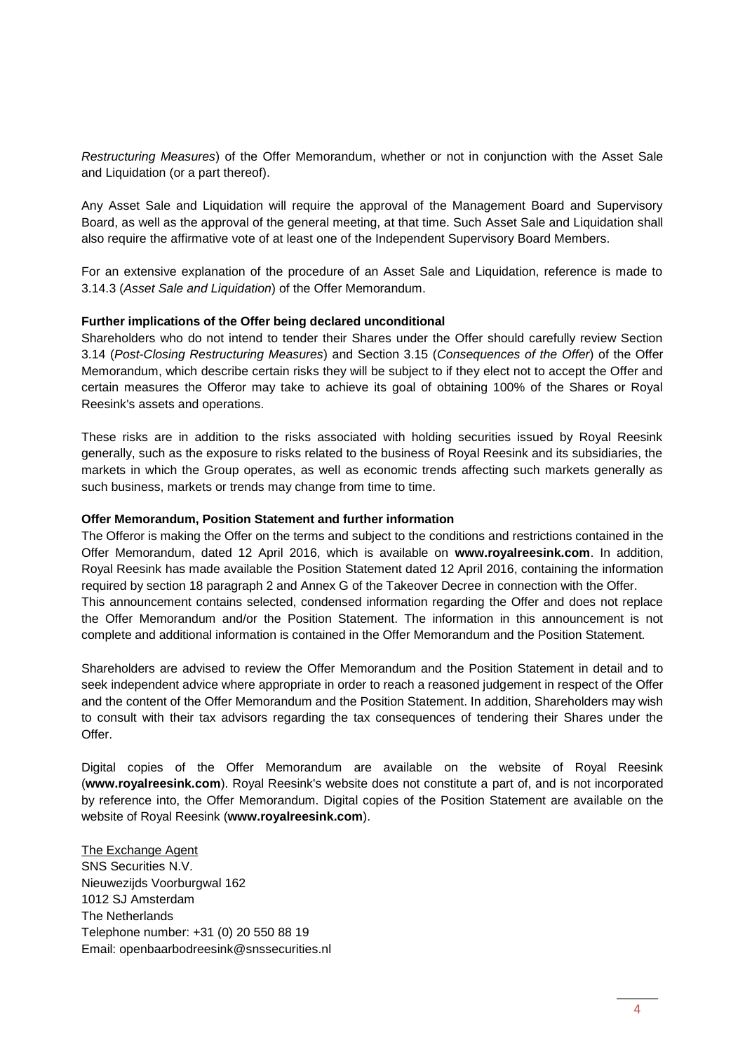*Restructuring Measures*) of the Offer Memorandum, whether or not in conjunction with the Asset Sale and Liquidation (or a part thereof).

Any Asset Sale and Liquidation will require the approval of the Management Board and Supervisory Board, as well as the approval of the general meeting, at that time. Such Asset Sale and Liquidation shall also require the affirmative vote of at least one of the Independent Supervisory Board Members.

For an extensive explanation of the procedure of an Asset Sale and Liquidation, reference is made to 3.14.3 (*Asset Sale and Liquidation*) of the Offer Memorandum.

#### **Further implications of the Offer being declared unconditional**

Shareholders who do not intend to tender their Shares under the Offer should carefully review Section 3.14 (*Post-Closing Restructuring Measures*) and Section 3.15 (*Consequences of the Offer*) of the Offer Memorandum, which describe certain risks they will be subject to if they elect not to accept the Offer and certain measures the Offeror may take to achieve its goal of obtaining 100% of the Shares or Royal Reesink's assets and operations.

These risks are in addition to the risks associated with holding securities issued by Royal Reesink generally, such as the exposure to risks related to the business of Royal Reesink and its subsidiaries, the markets in which the Group operates, as well as economic trends affecting such markets generally as such business, markets or trends may change from time to time.

### **Offer Memorandum, Position Statement and further information**

The Offeror is making the Offer on the terms and subject to the conditions and restrictions contained in the Offer Memorandum, dated 12 April 2016, which is available on **www.royalreesink.com**. In addition, Royal Reesink has made available the Position Statement dated 12 April 2016, containing the information required by section 18 paragraph 2 and Annex G of the Takeover Decree in connection with the Offer. This announcement contains selected, condensed information regarding the Offer and does not replace the Offer Memorandum and/or the Position Statement. The information in this announcement is not complete and additional information is contained in the Offer Memorandum and the Position Statement.

Shareholders are advised to review the Offer Memorandum and the Position Statement in detail and to seek independent advice where appropriate in order to reach a reasoned judgement in respect of the Offer and the content of the Offer Memorandum and the Position Statement. In addition, Shareholders may wish to consult with their tax advisors regarding the tax consequences of tendering their Shares under the Offer.

Digital copies of the Offer Memorandum are available on the website of Royal Reesink (**www.royalreesink.com**). Royal Reesink's website does not constitute a part of, and is not incorporated by reference into, the Offer Memorandum. Digital copies of the Position Statement are available on the website of Royal Reesink (**www.royalreesink.com**).

The Exchange Agent SNS Securities N.V. Nieuwezijds Voorburgwal 162 1012 SJ Amsterdam The Netherlands Telephone number: +31 (0) 20 550 88 19 Email: openbaarbodreesink@snssecurities.nl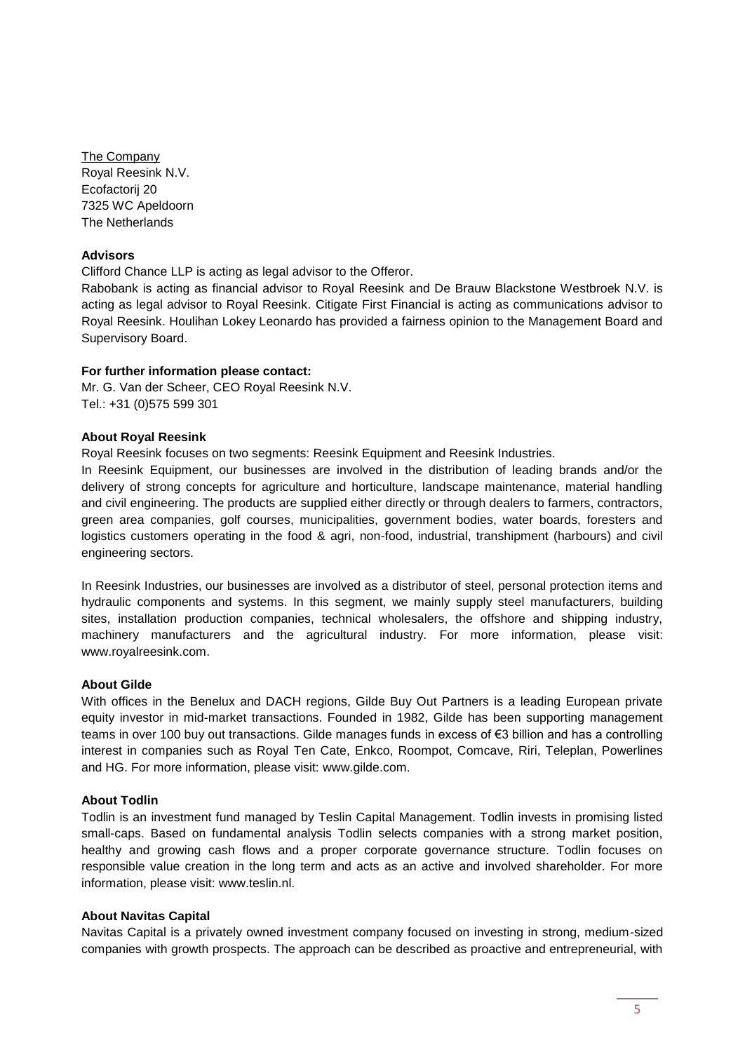The Company Royal Reesink N.V. Ecofactorij 20 7325 WC Apeldoorn The Netherlands

### **Advisors**

Clifford Chance LLP is acting as legal advisor to the Offeror.

Rabobank is acting as financial advisor to Royal Reesink and De Brauw Blackstone Westbroek N.V. is acting as legal advisor to Royal Reesink. Citigate First Financial is acting as communications advisor to Royal Reesink. Houlihan Lokey Leonardo has provided a fairness opinion to the Management Board and Supervisory Board.

### **For further information please contact:**

Mr. G. Van der Scheer, CEO Royal Reesink N.V. Tel.: +31 (0)575 599 301

#### **About Royal Reesink**

Royal Reesink focuses on two segments: Reesink Equipment and Reesink Industries.

In Reesink Equipment, our businesses are involved in the distribution of leading brands and/or the delivery of strong concepts for agriculture and horticulture, landscape maintenance, material handling and civil engineering. The products are supplied either directly or through dealers to farmers, contractors, green area companies, golf courses, municipalities, government bodies, water boards, foresters and logistics customers operating in the food & agri, non-food, industrial, transhipment (harbours) and civil engineering sectors.

In Reesink Industries, our businesses are involved as a distributor of steel, personal protection items and hydraulic components and systems. In this segment, we mainly supply steel manufacturers, building sites, installation production companies, technical wholesalers, the offshore and shipping industry, machinery manufacturers and the agricultural industry. For more information, please visit: www.royalreesink.com.

### **About Gilde**

With offices in the Benelux and DACH regions, Gilde Buy Out Partners is a leading European private equity investor in mid-market transactions. Founded in 1982, Gilde has been supporting management teams in over 100 buy out transactions. Gilde manages funds in excess of €3 billion and has a controlling interest in companies such as Royal Ten Cate, Enkco, Roompot, Comcave, Riri, Teleplan, Powerlines and HG. For more information, please visit: www.gilde.com.

## **About Todlin**

Todlin is an investment fund managed by Teslin Capital Management. Todlin invests in promising listed small-caps. Based on fundamental analysis Todlin selects companies with a strong market position, healthy and growing cash flows and a proper corporate governance structure. Todlin focuses on responsible value creation in the long term and acts as an active and involved shareholder. For more information, please visit: www.teslin.nl.

#### **About Navitas Capital**

Navitas Capital is a privately owned investment company focused on investing in strong, medium-sized companies with growth prospects. The approach can be described as proactive and entrepreneurial, with